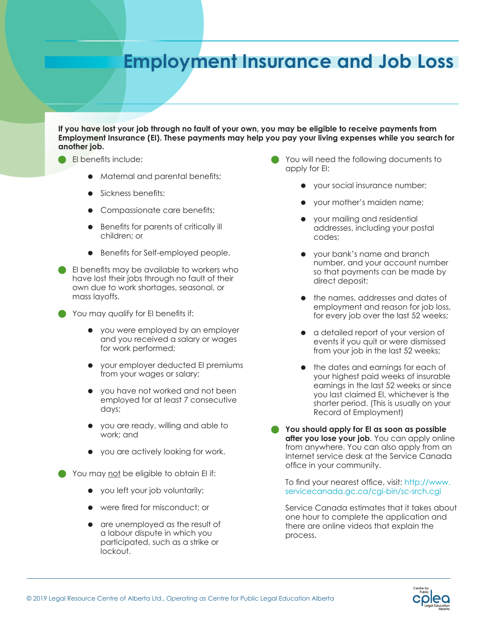## **Employment Insurance and Job Loss**

**If you have lost your job through no fault of your own, you may be eligible to receive payments from Employment Insurance (EI). These payments may help you pay your living expenses while you search for another job.**

- EI benefits include:
	- Maternal and parental benefits;
	- Sickness benefits;
	- Compassionate care benefits;
	- Benefits for parents of critically ill children; or
	- Benefits for Self-employed people.
- EI benefits may be available to workers who have lost their jobs through no fault of their own due to work shortages, seasonal, or mass layoffs.
- You may qualify for EI benefits if:
	- you were employed by an employer and you received a salary or wages for work performed;
	- your employer deducted EI premiums from your wages or salary;
	- you have not worked and not been employed for at least 7 consecutive days;
	- you are ready, willing and able to work; and
	- you are actively looking for work.

You may not be eligible to obtain El if:

- you left your job voluntarily;
- were fired for misconduct; or
- are unemployed as the result of a labour dispute in which you participated, such as a strike or lockout.
- You will need the following documents to apply for EI:
	- your social insurance number;
	- your mother's maiden name;
	- your mailing and residential addresses, including your postal codes;
	- your bank's name and branch number, and your account number so that payments can be made by direct deposit;
	- the names, addresses and dates of employment and reason for job loss, for every job over the last 52 weeks;
	- a detailed report of your version of events if you quit or were dismissed from your job in the last 52 weeks;
	- the dates and earnings for each of your highest paid weeks of insurable earnings in the last 52 weeks or since you last claimed EI, whichever is the shorter period. (This is usually on your Record of Employment)
- **You should apply for EI as soon as possible after you lose your job**. You can apply online from anywhere. You can also apply from an Internet service desk at the Service Canada office in your community.

To find your nearest office, visit: [http://www.](http://www.servicecanada.gc.ca/cgi-bin/sc-srch.cgi) [servicecanada.gc.ca/cgi-bin/sc-srch.cg](http://www.servicecanada.gc.ca/cgi-bin/sc-srch.cgi)i

Service Canada estimates that it takes about one hour to complete the application and there are online videos that explain the process.